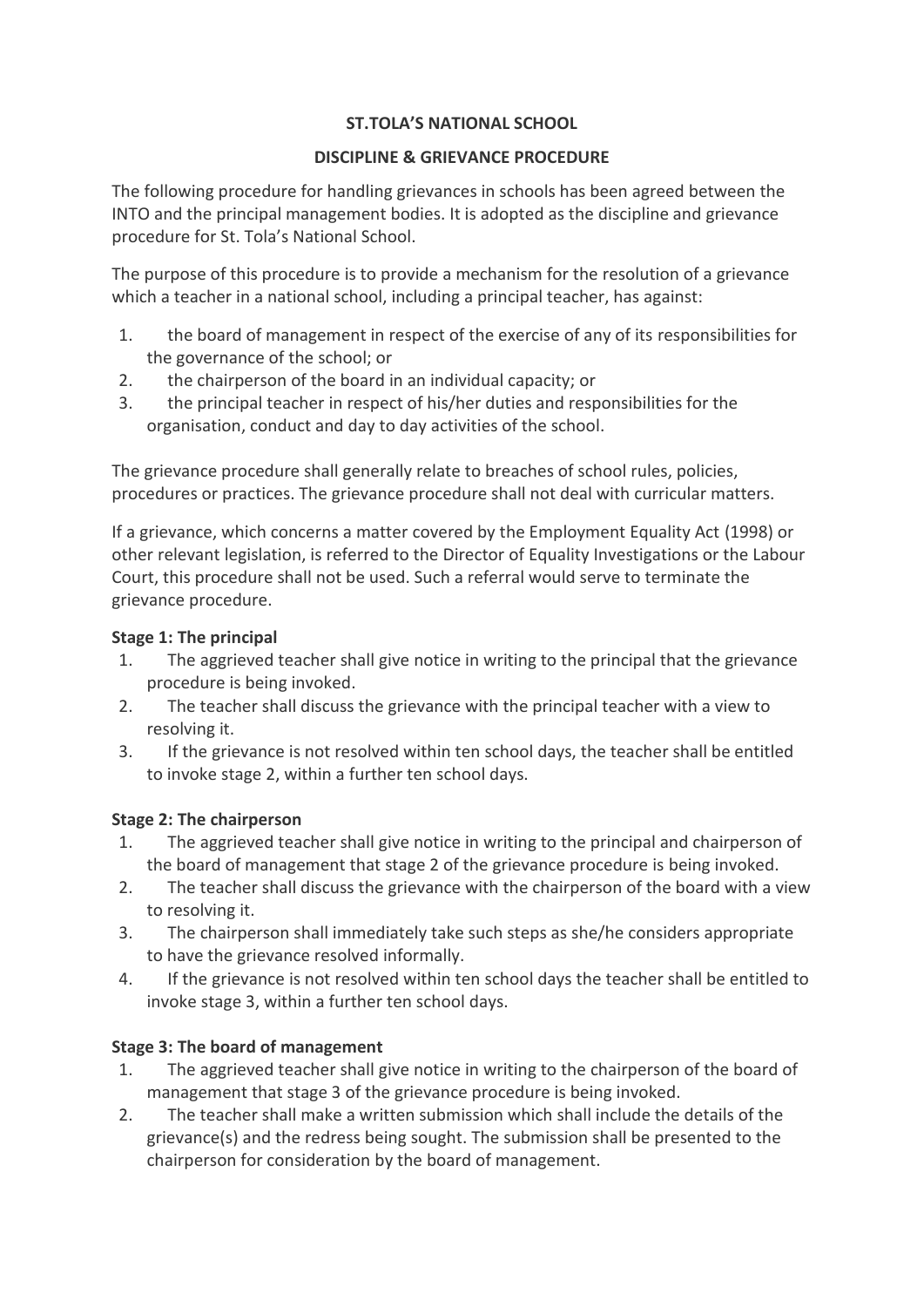#### **ST.TOLA'S NATIONAL SCHOOL**

#### **DISCIPLINE & GRIEVANCE PROCEDURE**

The following procedure for handling grievances in schools has been agreed between the INTO and the principal management bodies. It is adopted as the discipline and grievance procedure for St. Tola's National School.

The purpose of this procedure is to provide a mechanism for the resolution of a grievance which a teacher in a national school, including a principal teacher, has against:

- 1. the board of management in respect of the exercise of any of its responsibilities for the governance of the school; or
- 2. the chairperson of the board in an individual capacity; or
- 3. the principal teacher in respect of his/her duties and responsibilities for the organisation, conduct and day to day activities of the school.

The grievance procedure shall generally relate to breaches of school rules, policies, procedures or practices. The grievance procedure shall not deal with curricular matters.

If a grievance, which concerns a matter covered by the Employment Equality Act (1998) or other relevant legislation, is referred to the Director of Equality Investigations or the Labour Court, this procedure shall not be used. Such a referral would serve to terminate the grievance procedure.

### **Stage 1: The principal**

- 1. The aggrieved teacher shall give notice in writing to the principal that the grievance procedure is being invoked.
- 2. The teacher shall discuss the grievance with the principal teacher with a view to resolving it.
- 3. If the grievance is not resolved within ten school days, the teacher shall be entitled to invoke stage 2, within a further ten school days.

# **Stage 2: The chairperson**

- 1. The aggrieved teacher shall give notice in writing to the principal and chairperson of the board of management that stage 2 of the grievance procedure is being invoked.
- 2. The teacher shall discuss the grievance with the chairperson of the board with a view to resolving it.
- 3. The chairperson shall immediately take such steps as she/he considers appropriate to have the grievance resolved informally.
- 4. If the grievance is not resolved within ten school days the teacher shall be entitled to invoke stage 3, within a further ten school days.

# **Stage 3: The board of management**

- 1. The aggrieved teacher shall give notice in writing to the chairperson of the board of management that stage 3 of the grievance procedure is being invoked.
- 2. The teacher shall make a written submission which shall include the details of the grievance(s) and the redress being sought. The submission shall be presented to the chairperson for consideration by the board of management.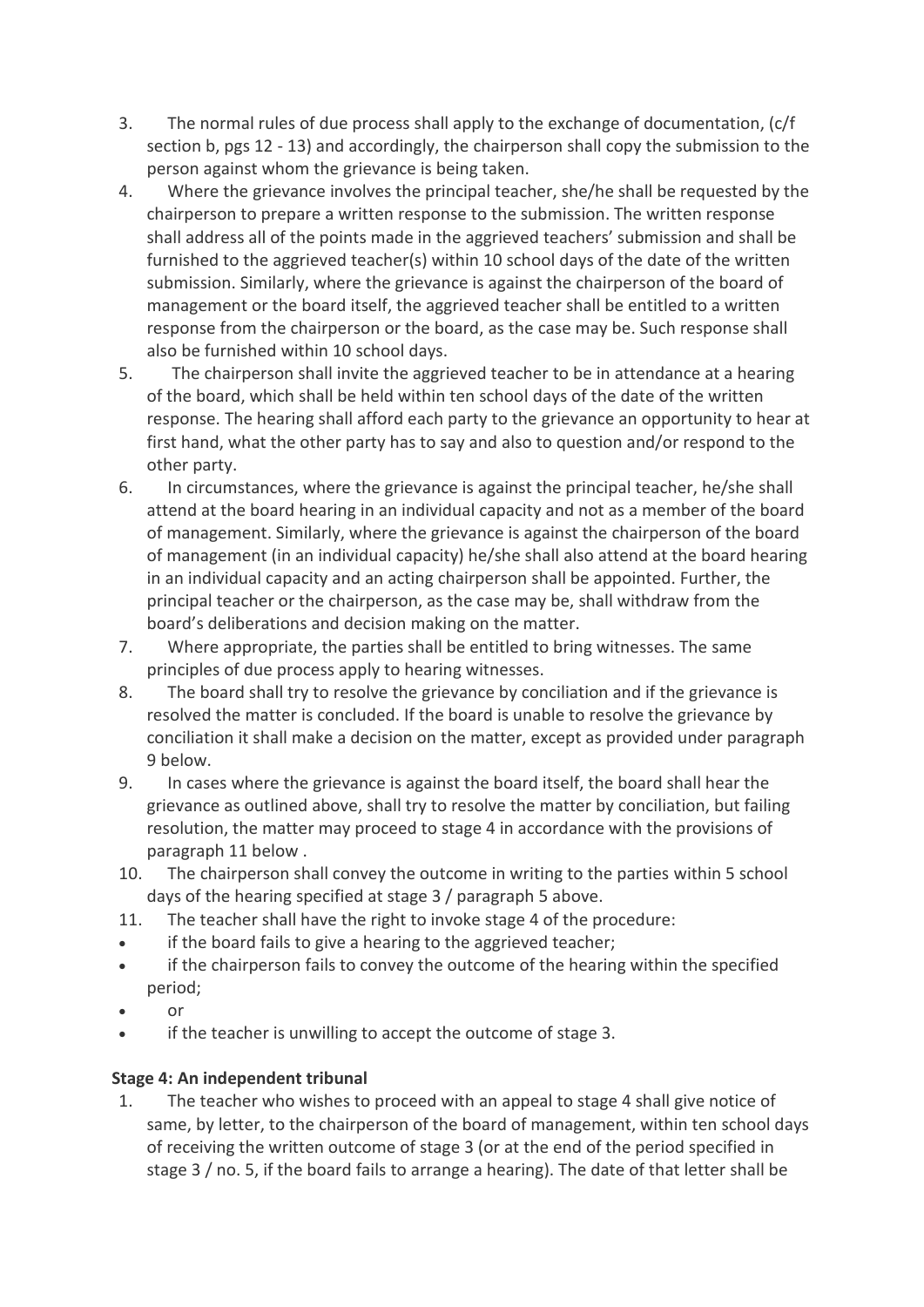- 3. The normal rules of due process shall apply to the exchange of documentation, (c/f section b, pgs 12 - 13) and accordingly, the chairperson shall copy the submission to the person against whom the grievance is being taken.
- 4. Where the grievance involves the principal teacher, she/he shall be requested by the chairperson to prepare a written response to the submission. The written response shall address all of the points made in the aggrieved teachers' submission and shall be furnished to the aggrieved teacher(s) within 10 school days of the date of the written submission. Similarly, where the grievance is against the chairperson of the board of management or the board itself, the aggrieved teacher shall be entitled to a written response from the chairperson or the board, as the case may be. Such response shall also be furnished within 10 school days.
- 5. The chairperson shall invite the aggrieved teacher to be in attendance at a hearing of the board, which shall be held within ten school days of the date of the written response. The hearing shall afford each party to the grievance an opportunity to hear at first hand, what the other party has to say and also to question and/or respond to the other party.
- 6. In circumstances, where the grievance is against the principal teacher, he/she shall attend at the board hearing in an individual capacity and not as a member of the board of management. Similarly, where the grievance is against the chairperson of the board of management (in an individual capacity) he/she shall also attend at the board hearing in an individual capacity and an acting chairperson shall be appointed. Further, the principal teacher or the chairperson, as the case may be, shall withdraw from the board's deliberations and decision making on the matter.
- 7. Where appropriate, the parties shall be entitled to bring witnesses. The same principles of due process apply to hearing witnesses.
- 8. The board shall try to resolve the grievance by conciliation and if the grievance is resolved the matter is concluded. If the board is unable to resolve the grievance by conciliation it shall make a decision on the matter, except as provided under paragraph 9 below.
- 9. In cases where the grievance is against the board itself, the board shall hear the grievance as outlined above, shall try to resolve the matter by conciliation, but failing resolution, the matter may proceed to stage 4 in accordance with the provisions of paragraph 11 below .
- 10. The chairperson shall convey the outcome in writing to the parties within 5 school days of the hearing specified at stage 3 / paragraph 5 above.
- 11. The teacher shall have the right to invoke stage 4 of the procedure:
- if the board fails to give a hearing to the aggrieved teacher;
- if the chairperson fails to convey the outcome of the hearing within the specified period;
- or
- if the teacher is unwilling to accept the outcome of stage 3.

# **Stage 4: An independent tribunal**

1. The teacher who wishes to proceed with an appeal to stage 4 shall give notice of same, by letter, to the chairperson of the board of management, within ten school days of receiving the written outcome of stage 3 (or at the end of the period specified in stage 3 / no. 5, if the board fails to arrange a hearing). The date of that letter shall be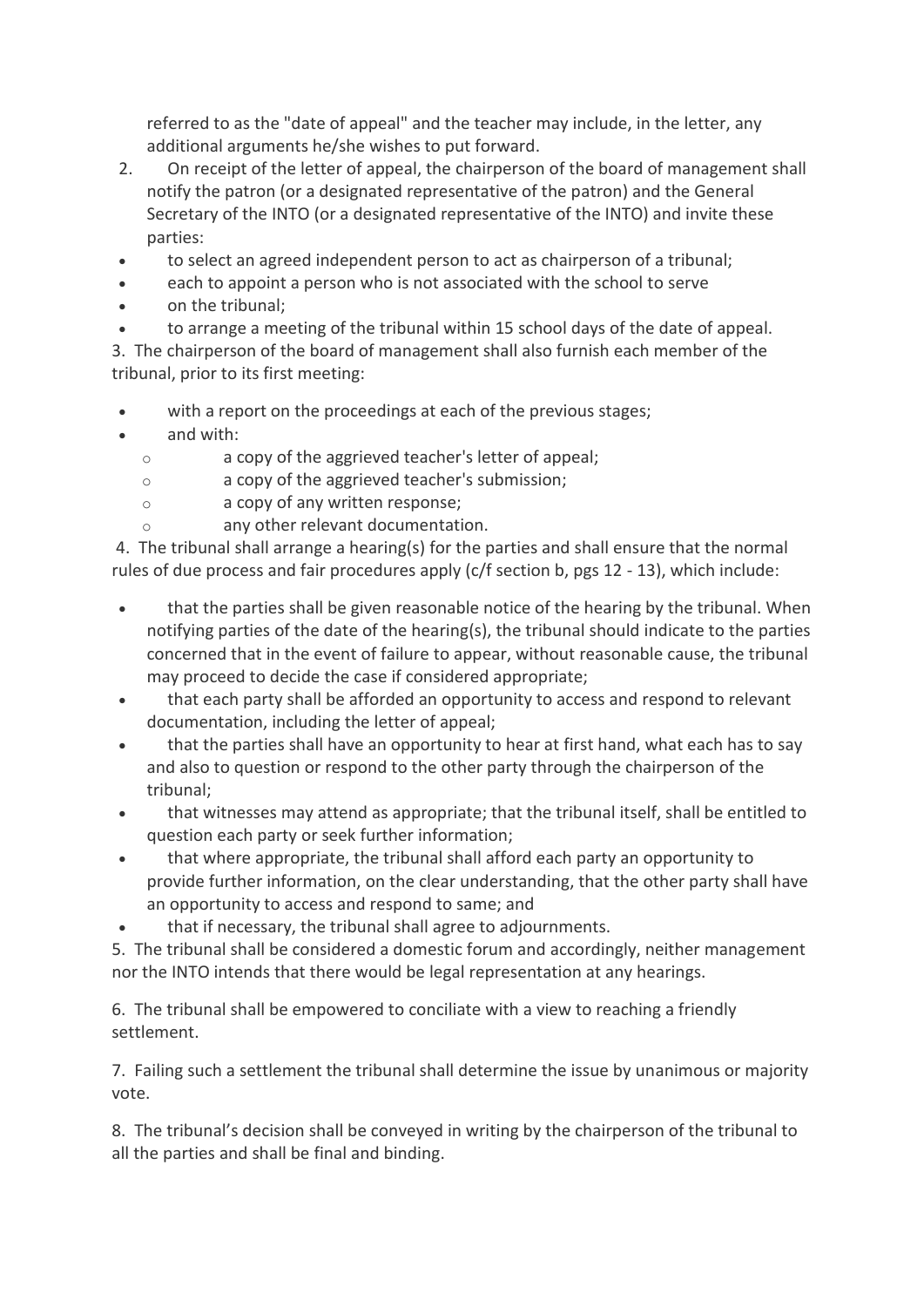referred to as the "date of appeal" and the teacher may include, in the letter, any additional arguments he/she wishes to put forward.

- 2. On receipt of the letter of appeal, the chairperson of the board of management shall notify the patron (or a designated representative of the patron) and the General Secretary of the INTO (or a designated representative of the INTO) and invite these parties:
- to select an agreed independent person to act as chairperson of a tribunal;
- each to appoint a person who is not associated with the school to serve
- on the tribunal;

• to arrange a meeting of the tribunal within 15 school days of the date of appeal. 3. The chairperson of the board of management shall also furnish each member of the tribunal, prior to its first meeting:

- with a report on the proceedings at each of the previous stages;
- and with:
	- o a copy of the aggrieved teacher's letter of appeal;
	- o a copy of the aggrieved teacher's submission;
	- o a copy of any written response;
	- any other relevant documentation.

4. The tribunal shall arrange a hearing(s) for the parties and shall ensure that the normal rules of due process and fair procedures apply (c/f section b, pgs 12 - 13), which include:

- that the parties shall be given reasonable notice of the hearing by the tribunal. When notifying parties of the date of the hearing(s), the tribunal should indicate to the parties concerned that in the event of failure to appear, without reasonable cause, the tribunal may proceed to decide the case if considered appropriate;
- that each party shall be afforded an opportunity to access and respond to relevant documentation, including the letter of appeal;
- that the parties shall have an opportunity to hear at first hand, what each has to say and also to question or respond to the other party through the chairperson of the tribunal;
- that witnesses may attend as appropriate; that the tribunal itself, shall be entitled to question each party or seek further information;
- that where appropriate, the tribunal shall afford each party an opportunity to provide further information, on the clear understanding, that the other party shall have an opportunity to access and respond to same; and
- that if necessary, the tribunal shall agree to adjournments.

5. The tribunal shall be considered a domestic forum and accordingly, neither management nor the INTO intends that there would be legal representation at any hearings.

6. The tribunal shall be empowered to conciliate with a view to reaching a friendly settlement.

7. Failing such a settlement the tribunal shall determine the issue by unanimous or majority vote.

8. The tribunal's decision shall be conveyed in writing by the chairperson of the tribunal to all the parties and shall be final and binding.